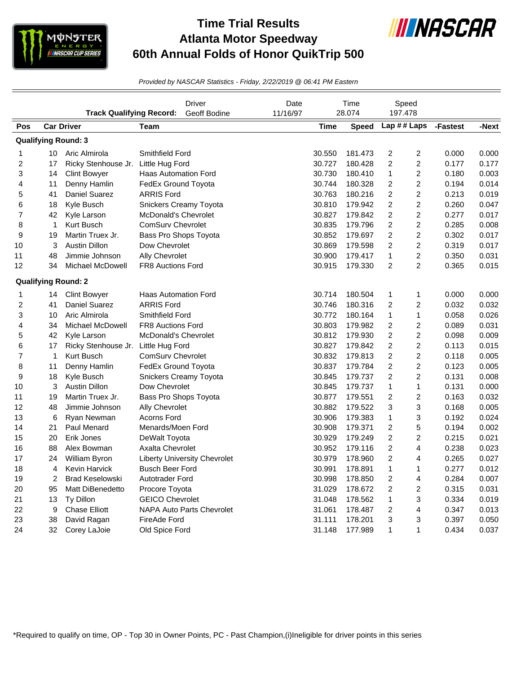

## **Time Trial Results Atlanta Motor Speedway 60th Annual Folds of Honor QuikTrip 500**



*Provided by NASCAR Statistics - Friday, 2/22/2019 @ 06:41 PM Eastern*

|                | <b>Track Qualifying Record:</b> |                                     | <b>Driver</b><br>Geoff Bodine       | Date<br>11/16/97 | Time<br>28.074 |              | Speed<br>197.478        |                         |          |       |
|----------------|---------------------------------|-------------------------------------|-------------------------------------|------------------|----------------|--------------|-------------------------|-------------------------|----------|-------|
| Pos            |                                 | <b>Car Driver</b>                   | Team                                |                  |                | <b>Speed</b> | Lap ## Laps             |                         | -Fastest | -Next |
|                |                                 | <b>Qualifying Round: 3</b>          |                                     |                  |                |              |                         |                         |          |       |
| 1              |                                 | 10 Aric Almirola                    | Smithfield Ford                     |                  | 30.550         | 181.473      | $\overline{c}$          | 2                       | 0.000    | 0.000 |
| $\overline{c}$ | 17                              | Ricky Stenhouse Jr. Little Hug Ford |                                     |                  | 30.727         | 180.428      | $\overline{c}$          | $\overline{c}$          | 0.177    | 0.177 |
| 3              | 14                              | <b>Clint Bowyer</b>                 | <b>Haas Automation Ford</b>         |                  | 30.730         | 180.410      | 1                       | 2                       | 0.180    | 0.003 |
| 4              | 11                              | Denny Hamlin                        | FedEx Ground Toyota                 |                  | 30.744         | 180.328      | $\overline{c}$          | $\overline{\mathbf{c}}$ | 0.194    | 0.014 |
| 5              | 41                              | Daniel Suarez                       | <b>ARRIS Ford</b>                   |                  | 30.763         | 180.216      | $\boldsymbol{2}$        | $\overline{c}$          | 0.213    | 0.019 |
| 6              | 18                              | Kyle Busch                          | Snickers Creamy Toyota              |                  | 30.810         | 179.942      | $\overline{c}$          | $\overline{c}$          | 0.260    | 0.047 |
| $\overline{7}$ | 42                              | Kyle Larson                         | <b>McDonald's Chevrolet</b>         |                  | 30.827         | 179.842      | $\overline{c}$          | $\overline{c}$          | 0.277    | 0.017 |
| 8              | $\mathbf{1}$                    | Kurt Busch                          | <b>ComSury Chevrolet</b>            |                  | 30.835         | 179.796      | $\boldsymbol{2}$        | $\overline{\mathbf{c}}$ | 0.285    | 0.008 |
| 9              | 19                              | Martin Truex Jr.                    | Bass Pro Shops Toyota               |                  | 30.852         | 179.697      | $\overline{\mathbf{c}}$ | $\overline{\mathbf{c}}$ | 0.302    | 0.017 |
| 10             | 3                               | <b>Austin Dillon</b>                | Dow Chevrolet                       |                  | 30.869         | 179.598      | $\overline{c}$          | $\overline{\mathbf{c}}$ | 0.319    | 0.017 |
| 11             | 48                              | Jimmie Johnson                      | Ally Chevrolet                      |                  | 30.900         | 179.417      | $\mathbf{1}$            | $\overline{\mathbf{c}}$ | 0.350    | 0.031 |
| 12             | 34                              | Michael McDowell                    | <b>FR8 Auctions Ford</b>            |                  | 30.915         | 179.330      | 2                       | $\overline{2}$          | 0.365    | 0.015 |
|                |                                 | <b>Qualifying Round: 2</b>          |                                     |                  |                |              |                         |                         |          |       |
| 1              | 14                              | Clint Bowyer                        | <b>Haas Automation Ford</b>         |                  | 30.714         | 180.504      | 1                       | $\mathbf{1}$            | 0.000    | 0.000 |
| $\overline{c}$ | 41                              | Daniel Suarez                       | <b>ARRIS Ford</b>                   |                  | 30.746         | 180.316      | 2                       | $\overline{c}$          | 0.032    | 0.032 |
| 3              | 10                              | Aric Almirola                       | Smithfield Ford                     |                  | 30.772         | 180.164      | $\mathbf{1}$            | $\mathbf{1}$            | 0.058    | 0.026 |
| 4              | 34                              | Michael McDowell                    | FR8 Auctions Ford                   |                  | 30.803         | 179.982      | 2                       | $\overline{\mathbf{c}}$ | 0.089    | 0.031 |
| 5              | 42                              | Kyle Larson                         | McDonald's Chevrolet                |                  | 30.812         | 179.930      | $\overline{c}$          | $\overline{c}$          | 0.098    | 0.009 |
| 6              | 17                              | Ricky Stenhouse Jr. Little Hug Ford |                                     |                  | 30.827         | 179.842      | $\overline{c}$          | $\overline{\mathbf{c}}$ | 0.113    | 0.015 |
| $\overline{7}$ | $\mathbf{1}$                    | Kurt Busch                          | ComSurv Chevrolet                   |                  | 30.832         | 179.813      | 2                       | 2                       | 0.118    | 0.005 |
| 8              | 11                              | Denny Hamlin                        | FedEx Ground Toyota                 |                  | 30.837         | 179.784      | $\overline{c}$          | $\overline{c}$          | 0.123    | 0.005 |
| 9              | 18                              | Kyle Busch                          | Snickers Creamy Toyota              |                  | 30.845         | 179.737      | $\overline{\mathbf{c}}$ | $\overline{c}$          | 0.131    | 0.008 |
| 10             | 3                               | <b>Austin Dillon</b>                | Dow Chevrolet                       |                  | 30.845         | 179.737      | 1                       | $\mathbf{1}$            | 0.131    | 0.000 |
| 11             | 19                              | Martin Truex Jr.                    | Bass Pro Shops Toyota               |                  | 30.877         | 179.551      | $\overline{c}$          | $\overline{c}$          | 0.163    | 0.032 |
| 12             | 48                              | Jimmie Johnson                      | Ally Chevrolet                      |                  | 30.882         | 179.522      | 3                       | 3                       | 0.168    | 0.005 |
| 13             | 6                               | Ryan Newman                         | Acorns Ford                         |                  | 30.906         | 179.383      | $\mathbf{1}$            | 3                       | 0.192    | 0.024 |
| 14             | 21                              | Paul Menard                         | Menards/Moen Ford                   |                  | 30.908         | 179.371      | $\boldsymbol{2}$        | 5                       | 0.194    | 0.002 |
| 15             | 20                              | Erik Jones                          | DeWalt Toyota                       |                  | 30.929         | 179.249      | $\overline{c}$          | $\overline{c}$          | 0.215    | 0.021 |
| 16             | 88                              | Alex Bowman                         | <b>Axalta Chevrolet</b>             |                  | 30.952         | 179.116      | $\overline{c}$          | 4                       | 0.238    | 0.023 |
| 17             | 24                              | William Byron                       | <b>Liberty University Chevrolet</b> |                  | 30.979         | 178.960      | $\overline{c}$          | 4                       | 0.265    | 0.027 |
| 18             | $\overline{4}$                  | <b>Kevin Harvick</b>                | <b>Busch Beer Ford</b>              |                  | 30.991         | 178.891      | $\mathbf{1}$            | 1                       | 0.277    | 0.012 |
| 19             | 2                               | <b>Brad Keselowski</b>              | Autotrader Ford                     |                  | 30.998         | 178.850      | 2                       | 4                       | 0.284    | 0.007 |
| 20             | 95                              | Matt DiBenedetto                    | Procore Toyota                      |                  | 31.029         | 178.672      | $\overline{c}$          | $\overline{c}$          | 0.315    | 0.031 |
| 21             | 13                              | Ty Dillon                           | <b>GEICO Chevrolet</b>              |                  | 31.048         | 178.562      | $\mathbf{1}$            | 3                       | 0.334    | 0.019 |
| 22             | 9                               | <b>Chase Elliott</b>                | <b>NAPA Auto Parts Chevrolet</b>    |                  | 31.061         | 178.487      | 2                       | 4                       | 0.347    | 0.013 |
| 23             | 38                              | David Ragan                         | FireAde Ford                        |                  | 31.111         | 178.201      | 3                       | 3                       | 0.397    | 0.050 |
| 24             | 32                              | Corey LaJoie                        | Old Spice Ford                      |                  | 31.148         | 177.989      | 1                       | $\mathbf{1}$            | 0.434    | 0.037 |